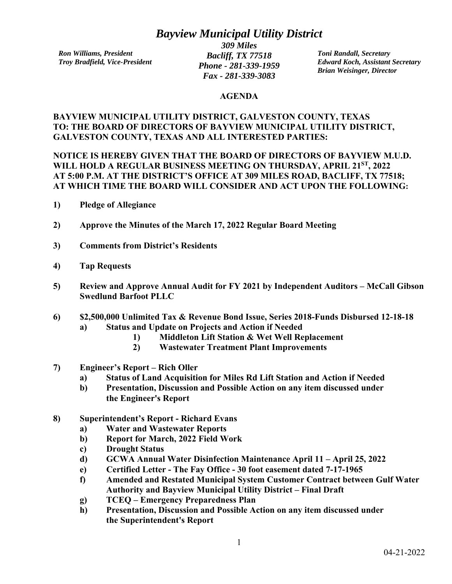## *Bayview Municipal Utility District*

*Ron Williams, President Troy Bradfield, Vice-President* 

*309 Miles Bacliff, TX 77518 Phone - 281-339-1959 Fax - 281-339-3083* 

*Toni Randall, Secretary Edward Koch, Assistant Secretary Brian Weisinger, Director* 

## **AGENDA**

## **BAYVIEW MUNICIPAL UTILITY DISTRICT, GALVESTON COUNTY, TEXAS TO: THE BOARD OF DIRECTORS OF BAYVIEW MUNICIPAL UTILITY DISTRICT, GALVESTON COUNTY, TEXAS AND ALL INTERESTED PARTIES:**

**NOTICE IS HEREBY GIVEN THAT THE BOARD OF DIRECTORS OF BAYVIEW M.U.D. WILL HOLD A REGULAR BUSINESS MEETING ON THURSDAY, APRIL 21ST, 2022 AT 5:00 P.M. AT THE DISTRICT'S OFFICE AT 309 MILES ROAD, BACLIFF, TX 77518; AT WHICH TIME THE BOARD WILL CONSIDER AND ACT UPON THE FOLLOWING:** 

- **1) Pledge of Allegiance**
- **2) Approve the Minutes of the March 17, 2022 Regular Board Meeting**
- **3) Comments from District's Residents**
- **4) Tap Requests**
- **5) Review and Approve Annual Audit for FY 2021 by Independent Auditors McCall Gibson Swedlund Barfoot PLLC**
- **6) \$2,500,000 Unlimited Tax & Revenue Bond Issue, Series 2018-Funds Disbursed 12-18-18 a) Status and Update on Projects and Action if Needed** 
	- **1) Middleton Lift Station & Wet Well Replacement**
	- **2) Wastewater Treatment Plant Improvements**
- **7) Engineer's Report Rich Oller** 
	- **a) Status of Land Acquisition for Miles Rd Lift Station and Action if Needed**
	- **b) Presentation, Discussion and Possible Action on any item discussed under the Engineer's Report**
- **8) Superintendent's Report Richard Evans** 
	- **a) Water and Wastewater Reports**
	- **b) Report for March, 2022 Field Work**
	- **c) Drought Status**
	- **d) GCWA Annual Water Disinfection Maintenance April 11 April 25, 2022**
	- **e) Certified Letter The Fay Office 30 foot easement dated 7-17-1965**
	- **f) Amended and Restated Municipal System Customer Contract between Gulf Water Authority and Bayview Municipal Utility District – Final Draft**
	- **g) TCEQ Emergency Preparedness Plan**
	- **h) Presentation, Discussion and Possible Action on any item discussed under the Superintendent's Report**